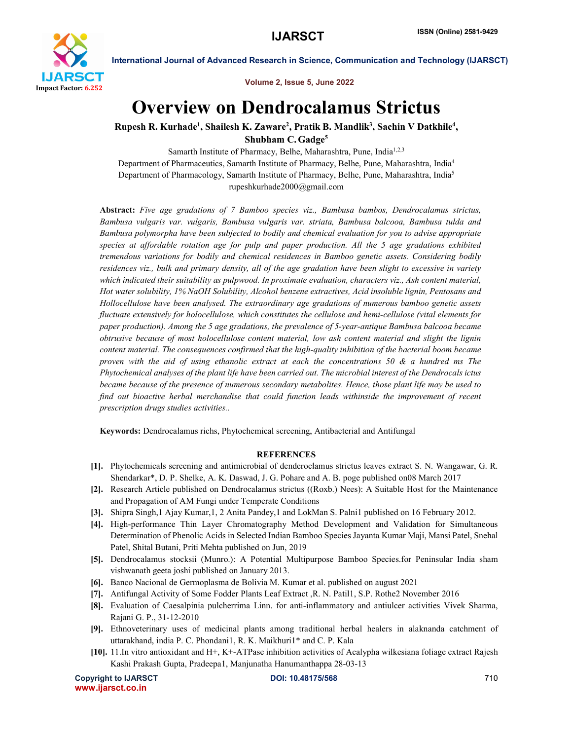

Volume 2, Issue 5, June 2022

International Journal of Advanced Research in Science, Communication and Technology (IJARSCT)

## Overview on Dendrocalamus Strictus

Rupesh R. Kurhade<sup>1</sup>, Shailesh K. Zaware<sup>2</sup>, Pratik B. Mandlik<sup>3</sup>, Sachin V Datkhile<sup>4</sup>, Shubham C. Gadge<sup>5</sup>

Samarth Institute of Pharmacy, Belhe, Maharashtra, Pune, India<sup>1,2,3</sup> Department of Pharmaceutics, Samarth Institute of Pharmacy, Belhe, Pune, Maharashtra, India4 Department of Pharmacology, Samarth Institute of Pharmacy, Belhe, Pune, Maharashtra, India5 rupeshkurhade2000@gmail.com

Abstract: *Five age gradations of 7 Bamboo species viz., Bambusa bambos, Dendrocalamus strictus, Bambusa vulgaris var. vulgaris, Bambusa vulgaris var. striata, Bambusa balcooa, Bambusa tulda and Bambusa polymorpha have been subjected to bodily and chemical evaluation for you to advise appropriate species at affordable rotation age for pulp and paper production. All the 5 age gradations exhibited tremendous variations for bodily and chemical residences in Bamboo genetic assets. Considering bodily residences viz., bulk and primary density, all of the age gradation have been slight to excessive in variety which indicated their suitability as pulpwood. In proximate evaluation, characters viz., Ash content material, Hot water solubility, 1% NaOH Solubility, Alcohol benzene extractives, Acid insoluble lignin, Pentosans and Hollocellulose have been analysed. The extraordinary age gradations of numerous bamboo genetic assets fluctuate extensively for holocellulose, which constitutes the cellulose and hemi-cellulose (vital elements for paper production). Among the 5 age gradations, the prevalence of 5-year-antique Bambusa balcooa became obtrusive because of most holocellulose content material, low ash content material and slight the lignin content material. The consequences confirmed that the high-quality inhibition of the bacterial boom became proven with the aid of using ethanolic extract at each the concentrations 50 & a hundred ms The Phytochemical analyses of the plant life have been carried out. The microbial interest of the Dendrocals ictus became because of the presence of numerous secondary metabolites. Hence, those plant life may be used to find out bioactive herbal merchandise that could function leads withinside the improvement of recent prescription drugs studies activities..*

Keywords: Dendrocalamus richs, Phytochemical screening, Antibacterial and Antifungal

## **REFERENCES**

- [1]. Phytochemicals screening and antimicrobial of denderoclamus strictus leaves extract S. N. Wangawar, G. R. Shendarkar\*, D. P. Shelke, A. K. Daswad, J. G. Pohare and A. B. poge published on08 March 2017
- [2]. Research Article published on Dendrocalamus strictus ((Roxb.) Nees): A Suitable Host for the Maintenance and Propagation of AM Fungi under Temperate Conditions
- [3]. Shipra Singh,1 Ajay Kumar,1, 2 Anita Pandey,1 and LokMan S. Palni1 published on 16 February 2012.
- [4]. High-performance Thin Layer Chromatography Method Development and Validation for Simultaneous Determination of Phenolic Acids in Selected Indian Bamboo Species Jayanta Kumar Maji, Mansi Patel, Snehal Patel, Shital Butani, Priti Mehta published on Jun, 2019
- [5]. Dendrocalamus stocksii (Munro.): A Potential Multipurpose Bamboo Species.for Peninsular India sham vishwanath geeta joshi published on January 2013.
- [6]. Banco Nacional de Germoplasma de Bolivia M. Kumar et al. published on august 2021
- [7]. Antifungal Activity of Some Fodder Plants Leaf Extract ,R. N. Patil1, S.P. Rothe2 November 2016
- [8]. Evaluation of Caesalpinia pulcherrima Linn. for anti-inflammatory and antiulcer activities Vivek Sharma, Rajani G. P., 31-12-2010
- [9]. Ethnoveterinary uses of medicinal plants among traditional herbal healers in alaknanda catchment of uttarakhand, india P. C. Phondani1, R. K. Maikhuri1\* and C. P. Kala
- [10]. 11.In vitro antioxidant and H+, K+-ATPase inhibition activities of Acalypha wilkesiana foliage extract Rajesh Kashi Prakash Gupta, Pradeepa1, Manjunatha Hanumanthappa 28-03-13

Copyright to IJARSCT **DOI: 10.48175/568 DOI: 10.48175/568 POI: 10.48175/568 POI: 10.48175/568** www.ijarsct.co.in